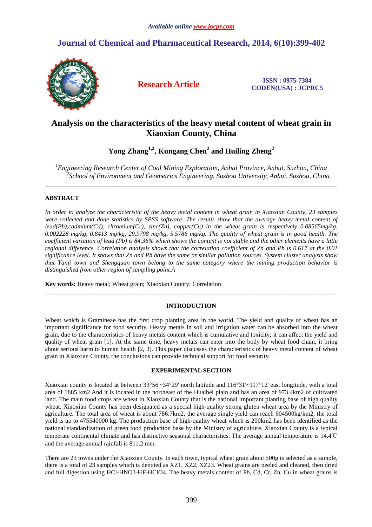# **Journal of Chemical and Pharmaceutical Research, 2014, 6(10):399-402**



**Research Article ISSN : 0975-7384 CODEN(USA) : JCPRC5**

# **Analysis on the characteristics of the heavy metal content of wheat grain in Xiaoxian County, China**

**Yong Zhang1,2, Kungang Chen<sup>2</sup> and Huiling Zheng<sup>2</sup>**

*<sup>1</sup>Engineering Research Center of Coal Mining Exploration, Anhui Province, Anhui, Suzhou, China 2 School of Environment and Geometrics Engineering, Suzhou University, Anhui, Suzhou, China*  \_\_\_\_\_\_\_\_\_\_\_\_\_\_\_\_\_\_\_\_\_\_\_\_\_\_\_\_\_\_\_\_\_\_\_\_\_\_\_\_\_\_\_\_\_\_\_\_\_\_\_\_\_\_\_\_\_\_\_\_\_\_\_\_\_\_\_\_\_\_\_\_\_\_\_\_\_\_\_\_\_\_\_\_\_\_\_\_\_\_\_\_\_

# **ABSTRACT**

*In order to analyze the characteristic of the heavy metal content in wheat grain in Xiaoxian County, 23 samples were collected and done statistics by SPSS software. The results show that the average heavy metal content of lead(Pb),cadmium(Cd), chromium(Cr), zinc(Zn), copper(Cu) in the wheat grain is respectively 0.08565mg/kg, 0.002228 mg/kg, 0.8413 mg/kg, 29.9798 mg/kg, 5.5786 mg/kg. The quality of wheat grain is in good health. The coefficient variation of lead (Pb) is 84.36% which shows the content is not stable and the other elements have a little regional difference. Correlation analysis shows that the correlation coefficient of Zn and Pb is 0.617 at the 0.01 significance level. It shows that Zn and Pb have the same or similar pollution sources. System cluster analysis show that Yanji town and Shengquan town belong to the same category where the mining production behavior is distinguished from other region of sampling point.A*

**Key words:** Heavy metal; Wheat grain; Xiaoxian County; Correlation

## **INTRODUCTION**

 $\overline{a}$  , and the contribution of the contribution of the contribution of the contribution of the contribution of the contribution of the contribution of the contribution of the contribution of the contribution of the co

Wheat which is Gramineae has the first crop planting area in the world. The yield and quality of wheat has an important significance for food security. Heavy metals in soil and irrigation water can be absorbed into the wheat grain, due to the characteristics of heavy metals content which is cumulative and toxicity; it can affect the yield and quality of wheat grain [1]. At the same time, heavy metals can enter into the body by wheat food chain, it bring about serious harm to human health [2, 3]. This paper discusses the characteristics of heavy metal content of wheat grain in Xiaoxian County, the conclusions can provide technical support for food security.

## **EXPERIMENTAL SECTION**

Xiaoxian county is located at between 33°56'~34°29' north latitude and 116°31'~117°12' east longitude, with a total area of 1885 km2.And it is located in the northeast of the Huaibei plain and has an area of 973.4km2 of cultivated land. The main food crops are wheat in Xiaoxian County that is the national important planting base of high quality wheat. Xiaoxian County has been designated as a special high-quality strong gluten wheat area by the Ministry of agriculture. The total area of wheat is about 786.7km2, the average single yield can reach 604500kg/km2, the total yield is up to 475540000 kg. The production base of high-quality wheat which is 200km2 has been identified as the national standardization of green food production base by the Ministry of agriculture. Xiaoxian County is a typical temperate continental climate and has distinctive seasonal characteristics. The average annual temperature is 14.4℃ and the average annual rainfall is 811.2 mm.

There are 23 towns under the Xiaoxian County. In each town, typical wheat grain about 500g is selected as a sample, there is a total of 23 samples which is denoted as XZ1, XZ2, XZ23. Wheat grains are peeled and cleaned, then dried and full digestion using HCl-HNO3-HF-HClO4. The heavy metals content of Pb, Cd, Cr, Zn, Cu in wheat grains is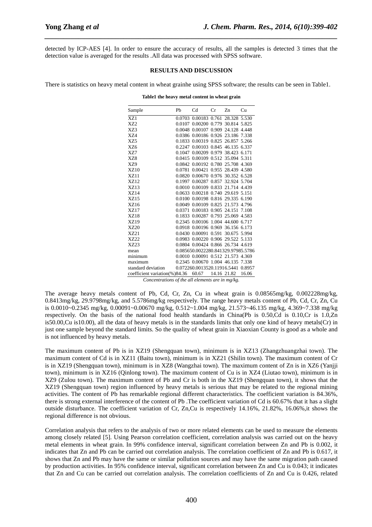detected by ICP-AES [4]. In order to ensure the accuracy of results, all the samples is detected 3 times that the detection value is averaged for the results .All data was processed with SPSS software.

*\_\_\_\_\_\_\_\_\_\_\_\_\_\_\_\_\_\_\_\_\_\_\_\_\_\_\_\_\_\_\_\_\_\_\_\_\_\_\_\_\_\_\_\_\_\_\_\_\_\_\_\_\_\_\_\_\_\_\_\_\_\_\_\_\_\_\_\_\_\_\_\_\_\_\_\_\_\_*

#### **RESULTS AND DISCUSSION**

There is statistics on heavy metal content in wheat grainhe using SPSS software; the results can be seen in Table1.

| Sample                                               | Pb               | C <sub>d</sub>                     | Cr        | Zn                 | Cu     |
|------------------------------------------------------|------------------|------------------------------------|-----------|--------------------|--------|
| XZ1                                                  | 0.0703           | 0.00183 0.761                      |           | 28.328 5.530       |        |
| X72                                                  | 0.0107           | 0.00200 0.779 30.814 5.825         |           |                    |        |
| XZ3                                                  | 0.0048           | 0.00107                            | 0.909     | 24.128             | 4.448  |
| <b>X74</b>                                           | 0.0386           | 0.00186 0.926 23.186 7.338         |           |                    |        |
| XZ5                                                  | 0.1833           | 0.00319                            |           | 0.825 26.857       | 5.266  |
| <b>XZ6</b>                                           | 0.2247           | 0.00103 0.845 46.135               |           |                    | 6.337  |
| <b>XZ7</b>                                           |                  | 0.1047 0.00209 0.979 38.423 6.171  |           |                    |        |
| <b>XZ8</b>                                           |                  | 0.0415 0.00109 0.512 35.094 5.311  |           |                    |        |
| XZ9                                                  |                  | 0.0842 0.00192 0.780 25.708 4.369  |           |                    |        |
| <b>XZ10</b>                                          | 0.0781           | 0.00421                            |           | 0.955 28.439       | 4.580  |
| <b>XZ11</b>                                          |                  | 0.0820 0.00670 0.976 30.352 6.528  |           |                    |        |
| XZ12                                                 | 0.1997           | 0.00287                            | 0.857     | 32.924 5.704       |        |
| XZ13                                                 |                  | 0.0010 0.00109 0.833 21.714 4.439  |           |                    |        |
| <b>XZ14</b>                                          | 0.0633           | 0.00218                            |           | 0.740 29.619       | 5.151  |
| XZ15                                                 |                  | 0.0100 0.00198 0.816 29.335 6.190  |           |                    |        |
| XZ16                                                 |                  | 0.0049 0.00109                     |           | 0.825 21.573       | 4.796  |
| <b>XZ17</b>                                          | 0.0371           | 0.00183 0.905 24.151 7.108         |           |                    |        |
| <b>XZ18</b>                                          |                  | 0.1833 0.00287                     |           | 0.793 25.069 4.583 |        |
| <b>XZ19</b>                                          |                  | 0.2345 0.00106 1.004 44.600 6.717  |           |                    |        |
| XZ20                                                 |                  | 0.0918 0.00196 0.969 36.156 6.173  |           |                    |        |
| XZ21                                                 | 0.0430           | 0.00091                            | 0.591     | 30.675 5.994       |        |
| X7.22                                                |                  | 0.0983 0.00220 0.906 29.522 5.133  |           |                    |        |
| XZ23                                                 |                  | 0.0804 0.00424 0.866 26.734 4.619  |           |                    |        |
| mean                                                 |                  | 0.085650.0022280.841329.97985.5786 |           |                    |        |
| minimum                                              |                  | 0.0010 0.00091                     |           | 0.512 21.573 4.369 |        |
| maximum                                              |                  | 0.2345 0.00670 1.004 46.135 7.338  |           |                    |        |
| standard deviation                                   |                  | 0.072260.0013520.11916.5441        |           |                    | 0.8957 |
| coefficient variation(%)84.36 60.67<br>$\sim$ $\sim$ | $\mathcal{C}$ .1 | $\frac{1}{11}$                     | $\cdot$ . | 14.16 21.82        | 16.06  |

**Table1 the heavy metal content in wheat grain** 

*Concentrations of the all elements are in mg/kg.* 

The average heavy metals content of Pb, Cd, Cr, Zn, Cu in wheat grain is 0.08565mg/kg, 0.002228mg/kg, 0.8413mg/kg, 29.9798mg/kg, and 5.5786mg/kg respectively. The range heavy metals content of Pb, Cd, Cr, Zn, Cu is 0.0010~0.2345 mg/kg, 0.00091~0.00670 mg/kg, 0.512~1.004 mg/kg, 21.573~46.135 mg/kg, 4.369~7.338 mg/kg respectively. On the basis of the national food health standards in China(Pb is 0.50,Cd is 0.10,Cr is 1.0,Zn is50.00,Cu is10.00), all the data of heavy metals is in the standards limits that only one kind of heavy metals(Cr) in just one sample beyond the standard limits. So the quality of wheat grain in Xiaoxian County is good as a whole and is not influenced by heavy metals.

The maximum content of Pb is in XZ19 (Shengquan town), minimum is in XZ13 (Zhangzhuangzhai town). The maximum content of Cd is in XZ11 (Baitu town), minimum is in XZ21 (Shilin town). The maximum content of Cr is in XZ19 (Shengquan town), minimum is in XZ8 (Wangzhai town). The maximum content of Zn is in XZ6 (Yanjji town), minimum is in XZ16 (Qinlong town). The maximum content of Cu is in XZ4 (Liutao town), minimum is in XZ9 (Zulou town). The maximum content of Pb and Cr is both in the XZ19 (Shengquan town), it shows that the XZ19 (Shengquan town) region influenced by heavy metals is serious that may be related to the regional mining activities. The content of Pb has remarkable regional different characteristics. The coefficient variation is 84.36%, there is strong external interference of the content of Pb .The coefficient variation of Cd is 60.67% that it has a slight outside disturbance. The coefficient variation of Cr, Zn,Cu is respectively 14.16%, 21.82%, 16.06%,it shows the regional difference is not obvious.

Correlation analysis that refers to the analysis of two or more related elements can be used to measure the elements among closely related [5]. Using Pearson correlation coefficient, correlation analysis was carried out on the heavy metal elements in wheat grain. In 99% confidence interval, significant correlation between Zn and Pb is 0.002, it indicates that Zn and Pb can be carried out correlation analysis. The correlation coefficient of Zn and Pb is 0.617, it shows that Zn and Pb may have the same or similar pollution sources and may have the same migration path caused by production activities. In 95% confidence interval, significant correlation between Zn and Cu is 0.043; it indicates that Zn and Cu can be carried out correlation analysis. The correlation coefficients of Zn and Cu is 0.426, related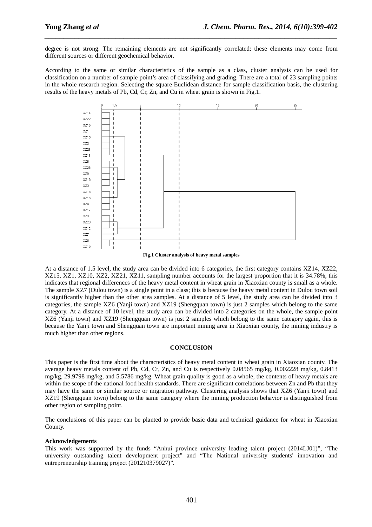degree is not strong. The remaining elements are not significantly correlated; these elements may come from different sources or different geochemical behavior.

*\_\_\_\_\_\_\_\_\_\_\_\_\_\_\_\_\_\_\_\_\_\_\_\_\_\_\_\_\_\_\_\_\_\_\_\_\_\_\_\_\_\_\_\_\_\_\_\_\_\_\_\_\_\_\_\_\_\_\_\_\_\_\_\_\_\_\_\_\_\_\_\_\_\_\_\_\_\_*

According to the same or similar characteristics of the sample as a class, cluster analysis can be used for classification on a number of sample point's area of classifying and grading. There are a total of 23 sampling points in the whole research region. Selecting the square Euclidean distance for sample classification basis, the clustering results of the heavy metals of Pb, Cd, Cr, Zn, and Cu in wheat grain is shown in Fig.1.



**Fig.1 Cluster analysis of heavy metal samples** 

At a distance of 1.5 level, the study area can be divided into 6 categories, the first category contains XZ14, XZ22, XZ15, XZ1, XZ10, XZ2, XZ21, XZ11, sampling number accounts for the largest proportion that it is 34.78%, this indicates that regional differences of the heavy metal content in wheat grain in Xiaoxian county is small as a whole. The sample XZ7 (Dulou town) is a single point in a class; this is because the heavy metal content in Dulou town soil is significantly higher than the other area samples. At a distance of 5 level, the study area can be divided into 3 categories, the sample XZ6 (Yanji town) and XZ19 (Shengquan town) is just 2 samples which belong to the same category. At a distance of 10 level, the study area can be divided into 2 categories on the whole, the sample point XZ6 (Yanji town) and XZ19 (Shengquan town) is just 2 samples which belong to the same category again, this is because the Yanji town and Shengquan town are important mining area in Xiaoxian county, the mining industry is much higher than other regions.

### **CONCLUSION**

This paper is the first time about the characteristics of heavy metal content in wheat grain in Xiaoxian county. The average heavy metals content of Pb, Cd, Cr, Zn, and Cu is respectively 0.08565 mg/kg, 0.002228 mg/kg, 0.8413 mg/kg, 29.9798 mg/kg, and 5.5786 mg/kg. Wheat grain quality is good as a whole, the contents of heavy metals are within the scope of the national food health standards. There are significant correlations between Zn and Pb that they may have the same or similar source or migration pathway. Clustering analysis shows that XZ6 (Yanji town) and XZ19 (Shengquan town) belong to the same category where the mining production behavior is distinguished from other region of sampling point.

The conclusions of this paper can be planted to provide basic data and technical guidance for wheat in Xiaoxian County.

### **Acknowledgements**

This work was supported by the funds "Anhui province university leading talent project (2014LJ01)", "The university outstanding talent development project" and "The National university students' innovation and entrepreneurship training project (201210379027)".